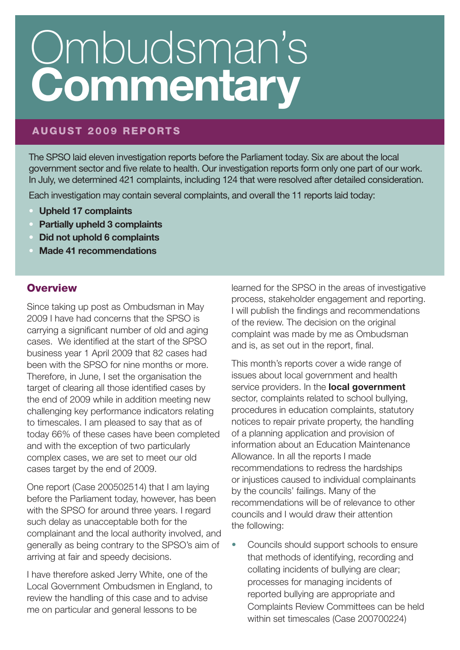# **AUGUST 2009 REPORTS**

The SPSO laid eleven investigation reports before the Parliament today. Six are about the local government sector and five relate to health. Our investigation reports form only one part of our work. In July, we determined 421 complaints, including 124 that were resolved after detailed consideration.

Each investigation may contain several complaints, and overall the 11 reports laid today:

- **• Upheld 17 complaints**
- **• Partially upheld 3 complaints**
- **• Did not uphold 6 complaints**
- **• Made 41 recommendations**

### **Overview**

Since taking up post as Ombudsman in May 2009 I have had concerns that the SPSO is carrying a significant number of old and aging cases. We identified at the start of the SPSO business year 1 April 2009 that 82 cases had been with the SPSO for nine months or more. Therefore, in June, I set the organisation the target of clearing all those identified cases by the end of 2009 while in addition meeting new challenging key performance indicators relating to timescales. I am pleased to say that as of today 66% of these cases have been completed and with the exception of two particularly complex cases, we are set to meet our old cases target by the end of 2009.

One report (Case 200502514) that I am laying before the Parliament today, however, has been with the SPSO for around three years. I regard such delay as unacceptable both for the complainant and the local authority involved, and generally as being contrary to the SPSO's aim of arriving at fair and speedy decisions.

I have therefore asked Jerry White, one of the Local Government Ombudsmen in England, to review the handling of this case and to advise me on particular and general lessons to be

learned for the SPSO in the areas of investigative process, stakeholder engagement and reporting. I will publish the findings and recommendations of the review. The decision on the original complaint was made by me as Ombudsman and is, as set out in the report, final.

This month's reports cover a wide range of issues about local government and health service providers. In the **local government** sector, complaints related to school bullying, procedures in education complaints, statutory notices to repair private property, the handling of a planning application and provision of information about an Education Maintenance Allowance. In all the reports I made recommendations to redress the hardships or injustices caused to individual complainants by the councils' failings. Many of the recommendations will be of relevance to other councils and I would draw their attention the following:

• Councils should support schools to ensure that methods of identifying, recording and collating incidents of bullying are clear; processes for managing incidents of reported bullying are appropriate and Complaints Review Committees can be held within set timescales (Case 200700224)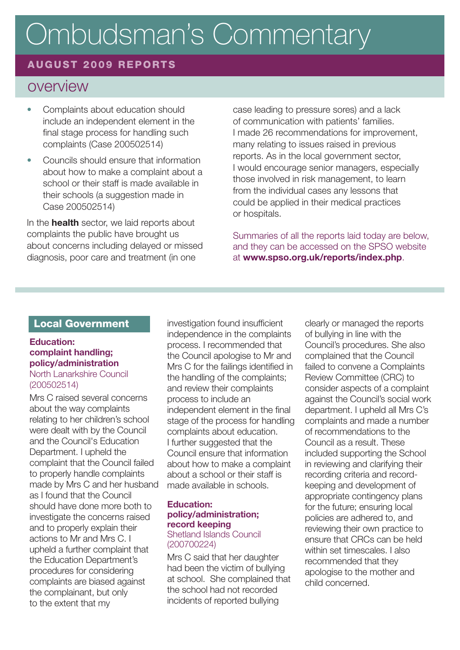# **AUGUST 2009 REPORTS**

# overview

- Complaints about education should include an independent element in the final stage process for handling such complaints (Case 200502514)
- Councils should ensure that information about how to make a complaint about a school or their staff is made available in their schools (a suggestion made in Case 200502514)

In the **health** sector, we laid reports about complaints the public have brought us about concerns including delayed or missed diagnosis, poor care and treatment (in one

case leading to pressure sores) and a lack of communication with patients' families. I made 26 recommendations for improvement, many relating to issues raised in previous reports. As in the local government sector, I would encourage senior managers, especially those involved in risk management, to learn from the individual cases any lessons that could be applied in their medical practices or hospitals.

Summaries of all the reports laid today are below, and they can be accessed on the SPSO website at **www.spso.org.uk/reports/index.php**.

### **Local Government**

### **Education: complaint handling; policy/administration** North Lanarkshire Council (200502514)

Mrs C raised several concerns about the way complaints relating to her children's school were dealt with by the Council and the Council's Education Department. I upheld the complaint that the Council failed to properly handle complaints made by Mrs C and her husband as I found that the Council should have done more both to investigate the concerns raised and to properly explain their actions to Mr and Mrs C. I upheld a further complaint that the Education Department's procedures for considering complaints are biased against the complainant, but only to the extent that my

investigation found insufficient independence in the complaints process. I recommended that the Council apologise to Mr and Mrs C for the failings identified in the handling of the complaints; and review their complaints process to include an independent element in the final stage of the process for handling complaints about education. I further suggested that the Council ensure that information about how to make a complaint about a school or their staff is made available in schools.

### **Education: policy/administration; record keeping**

### Shetland Islands Council (200700224)

Mrs C said that her daughter had been the victim of bullying at school. She complained that the school had not recorded incidents of reported bullying

clearly or managed the reports of bullying in line with the Council's procedures. She also complained that the Council failed to convene a Complaints Review Committee (CRC) to consider aspects of a complaint against the Council's social work department. I upheld all Mrs C's complaints and made a number of recommendations to the Council as a result. These included supporting the School in reviewing and clarifying their recording criteria and recordkeeping and development of appropriate contingency plans for the future; ensuring local policies are adhered to, and reviewing their own practice to ensure that CRCs can be held within set timescales. I also recommended that they apologise to the mother and child concerned.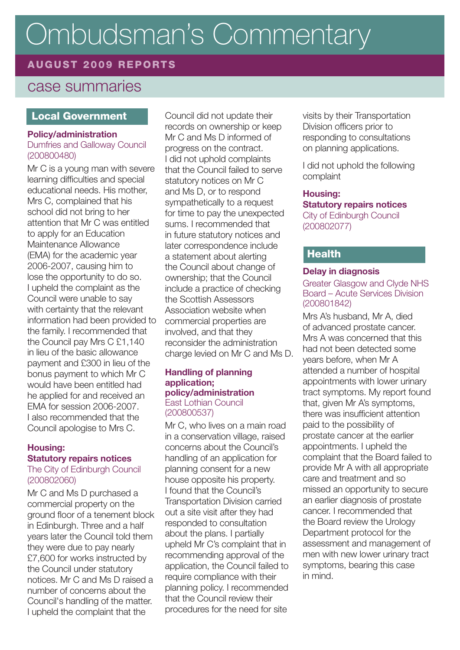# **AUGUST 2009 REPORTS**

# case summaries

### **Local Government**

### **Policy/administration**

Dumfries and Galloway Council (200800480)

Mr C is a young man with severe learning difficulties and special educational needs. His mother, Mrs C, complained that his school did not bring to her attention that Mr C was entitled to apply for an Education Maintenance Allowance (EMA) for the academic year 2006-2007, causing him to lose the opportunity to do so. I upheld the complaint as the Council were unable to say with certainty that the relevant information had been provided to the family. I recommended that the Council pay Mrs C £1,140 in lieu of the basic allowance payment and £300 in lieu of the bonus payment to which Mr C would have been entitled had he applied for and received an EMA for session 2006-2007. I also recommended that the Council apologise to Mrs C.

### **Housing: Statutory repairs notices**

The City of Edinburgh Council (200802060)

Mr C and Ms D purchased a commercial property on the ground floor of a tenement block in Edinburgh. Three and a half years later the Council told them they were due to pay nearly £7,600 for works instructed by the Council under statutory notices. Mr C and Ms D raised a number of concerns about the Council's handling of the matter. I upheld the complaint that the

Council did not update their records on ownership or keep Mr C and Ms D informed of progress on the contract. I did not uphold complaints that the Council failed to serve statutory notices on Mr C and Ms D, or to respond sympathetically to a request for time to pay the unexpected sums. I recommended that in future statutory notices and later correspondence include a statement about alerting the Council about change of ownership; that the Council include a practice of checking the Scottish Assessors Association website when commercial properties are involved, and that they reconsider the administration charge levied on Mr C and Ms D.

#### **Handling of planning application; policy/administration** East Lothian Council (200800537)

Mr C, who lives on a main road in a conservation village, raised concerns about the Council's handling of an application for planning consent for a new house opposite his property. I found that the Council's Transportation Division carried out a site visit after they had responded to consultation about the plans. I partially upheld Mr C's complaint that in recommending approval of the application, the Council failed to require compliance with their planning policy. I recommended that the Council review their procedures for the need for site

visits by their Transportation Division officers prior to responding to consultations on planning applications.

I did not uphold the following complaint

### **Housing: Statutory repairs notices** City of Edinburgh Council (200802077)

# **Health**

### **Delay in diagnosis**

### Greater Glasgow and Clyde NHS Board – Acute Services Division (200801842)

Mrs A's husband, Mr A, died of advanced prostate cancer. Mrs A was concerned that this had not been detected some years before, when Mr A attended a number of hospital appointments with lower urinary tract symptoms. My report found that, given Mr A's symptoms, there was insufficient attention paid to the possibility of prostate cancer at the earlier appointments. I upheld the complaint that the Board failed to provide Mr A with all appropriate care and treatment and so missed an opportunity to secure an earlier diagnosis of prostate cancer. I recommended that the Board review the Urology Department protocol for the assessment and management of men with new lower urinary tract symptoms, bearing this case in mind.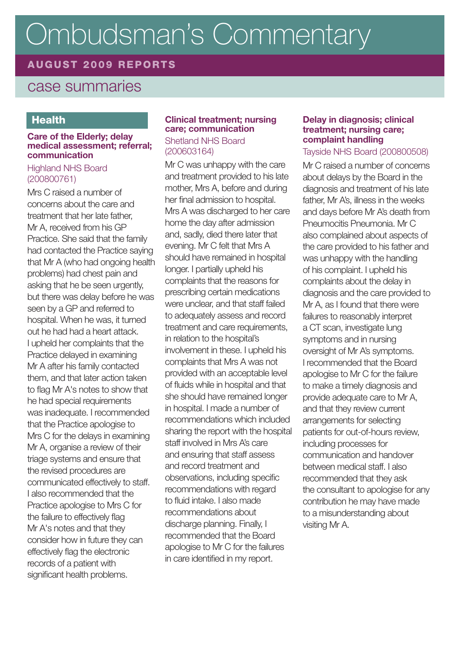# **AUGUST 2009 REPORTS**

# case summaries

# **Health**

#### **Care of the Elderly; delay medical assessment; referral; communication**

### Highland NHS Board (200800761)

Mrs C raised a number of concerns about the care and treatment that her late father, Mr A, received from his GP Practice. She said that the family had contacted the Practice saying that Mr A (who had ongoing health problems) had chest pain and asking that he be seen urgently. but there was delay before he was seen by a GP and referred to hospital. When he was, it turned out he had had a heart attack. I upheld her complaints that the Practice delayed in examining Mr A after his family contacted them, and that later action taken to flag Mr A's notes to show that he had special requirements was inadequate. I recommended that the Practice apologise to Mrs C for the delays in examining Mr A, organise a review of their triage systems and ensure that the revised procedures are communicated effectively to staff. I also recommended that the Practice apologise to Mrs C for the failure to effectively flag Mr A's notes and that they consider how in future they can effectively flag the electronic records of a patient with significant health problems.

### **Clinical treatment; nursing care; communication**

Shetland NHS Board (200603164)

Mr C was unhappy with the care and treatment provided to his late mother, Mrs A, before and during her final admission to hospital. Mrs A was discharged to her care home the day after admission and, sadly, died there later that evening. Mr C felt that Mrs A should have remained in hospital longer. I partially upheld his complaints that the reasons for prescribing certain medications were unclear, and that staff failed to adequately assess and record treatment and care requirements, in relation to the hospital's involvement in these. I upheld his complaints that Mrs A was not provided with an acceptable level of fluids while in hospital and that she should have remained longer in hospital. I made a number of recommendations which included sharing the report with the hospital staff involved in Mrs A's care and ensuring that staff assess and record treatment and observations, including specific recommendations with regard to fluid intake. I also made recommendations about discharge planning. Finally, I recommended that the Board apologise to Mr C for the failures in care identified in my report.

### **Delay in diagnosis; clinical treatment; nursing care; complaint handling**

### Tayside NHS Board (200800508)

Mr C raised a number of concerns about delays by the Board in the diagnosis and treatment of his late father, Mr A's, illness in the weeks and days before Mr A's death from Pneumocitis Pneumonia. Mr C also complained about aspects of the care provided to his father and was unhappy with the handling of his complaint. I upheld his complaints about the delay in diagnosis and the care provided to Mr A, as I found that there were failures to reasonably interpret a CT scan, investigate lung symptoms and in nursing oversight of Mr A's symptoms. I recommended that the Board apologise to Mr C for the failure to make a timely diagnosis and provide adequate care to Mr A, and that they review current arrangements for selecting patients for out-of-hours review, including processes for communication and handover between medical staff. I also recommended that they ask the consultant to apologise for any contribution he may have made to a misunderstanding about visiting Mr A.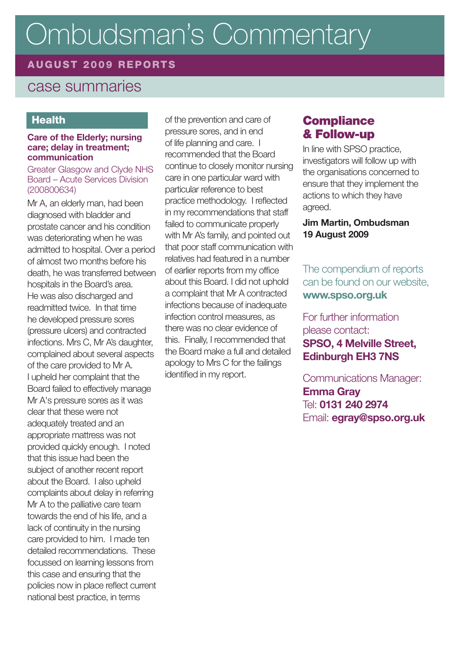# **AUGUST 2009 REPORTS**

# case summaries

# **Health**

#### **Care of the Elderly; nursing care; delay in treatment; communication**

#### Greater Glasgow and Clyde NHS Board – Acute Services Division (200800634)

Mr A, an elderly man, had been diagnosed with bladder and prostate cancer and his condition was deteriorating when he was admitted to hospital. Over a period of almost two months before his death, he was transferred between hospitals in the Board's area. He was also discharged and readmitted twice. In that time he developed pressure sores (pressure ulcers) and contracted infections. Mrs C, Mr A's daughter, complained about several aspects of the care provided to Mr A. I upheld her complaint that the Board failed to effectively manage Mr A's pressure sores as it was clear that these were not adequately treated and an appropriate mattress was not provided quickly enough. I noted that this issue had been the subject of another recent report about the Board. I also upheld complaints about delay in referring Mr A to the palliative care team towards the end of his life, and a lack of continuity in the nursing care provided to him. I made ten detailed recommendations. These focussed on learning lessons from this case and ensuring that the policies now in place reflect current national best practice, in terms

of the prevention and care of pressure sores, and in end of life planning and care. I recommended that the Board continue to closely monitor nursing care in one particular ward with particular reference to best practice methodology. I reflected in my recommendations that staff failed to communicate properly with Mr A's family, and pointed out that poor staff communication with relatives had featured in a number of earlier reports from my office about this Board. I did not uphold a complaint that Mr A contracted infections because of inadequate infection control measures, as there was no clear evidence of this. Finally, I recommended that the Board make a full and detailed apology to Mrs C for the failings identified in my report.

# **Compliance & Follow-up**

In line with SPSO practice, investigators will follow up with the organisations concerned to ensure that they implement the actions to which they have agreed.

### **Jim Martin, Ombudsman 19 August 2009**

The compendium of reports can be found on our website, **www.spso.org.uk**

For further information please contact: **SPSO, 4 Melville Street, Edinburgh EH3 7NS**

Communications Manager: **Emma Gray** Tel: **0131 240 2974** Email: **egray@spso.org.uk**